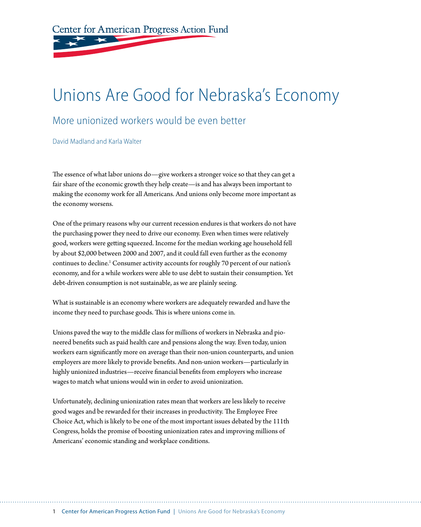Center for American Progress Action Fund

# Unions Are Good for Nebraska's Economy

#### More unionized workers would be even better

David Madland and Karla Walter

The essence of what labor unions do—give workers a stronger voice so that they can get a fair share of the economic growth they help create—is and has always been important to making the economy work for all Americans. And unions only become more important as the economy worsens.

One of the primary reasons why our current recession endures is that workers do not have the purchasing power they need to drive our economy. Even when times were relatively good, workers were getting squeezed. Income for the median working age household fell by about \$2,000 between 2000 and 2007, and it could fall even further as the economy continues to decline.<sup>1</sup> Consumer activity accounts for roughly 70 percent of our nation's economy, and for a while workers were able to use debt to sustain their consumption. Yet debt-driven consumption is not sustainable, as we are plainly seeing.

What is sustainable is an economy where workers are adequately rewarded and have the income they need to purchase goods. This is where unions come in.

Unions paved the way to the middle class for millions of workers in Nebraska and pioneered benefits such as paid health care and pensions along the way. Even today, union workers earn significantly more on average than their non-union counterparts, and union employers are more likely to provide benefits. And non-union workers—particularly in highly unionized industries—receive financial benefits from employers who increase wages to match what unions would win in order to avoid unionization.

Unfortunately, declining unionization rates mean that workers are less likely to receive good wages and be rewarded for their increases in productivity. The Employee Free Choice Act, which is likely to be one of the most important issues debated by the 111th Congress, holds the promise of boosting unionization rates and improving millions of Americans' economic standing and workplace conditions.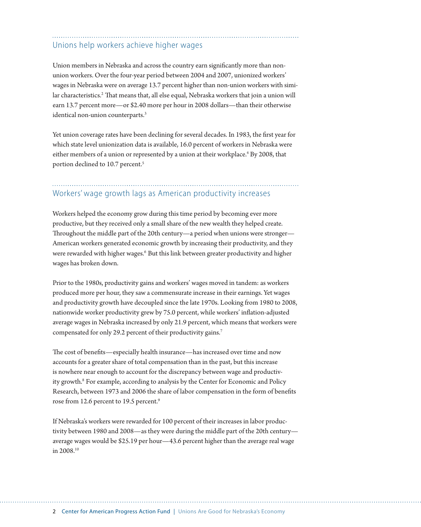#### Unions help workers achieve higher wages

Union members in Nebraska and across the country earn significantly more than nonunion workers. Over the four-year period between 2004 and 2007, unionized workers' wages in Nebraska were on average 13.7 percent higher than non-union workers with similar characteristics.<sup>2</sup> That means that, all else equal, Nebraska workers that join a union will earn 13.7 percent more—or \$2.40 more per hour in 2008 dollars—than their otherwise identical non-union counterparts.3

Yet union coverage rates have been declining for several decades. In 1983, the first year for which state level unionization data is available, 16.0 percent of workers in Nebraska were either members of a union or represented by a union at their workplace.<sup>4</sup> By 2008, that portion declined to 10.7 percent.<sup>5</sup>

### Workers' wage growth lags as American productivity increases

Workers helped the economy grow during this time period by becoming ever more productive, but they received only a small share of the new wealth they helped create. Throughout the middle part of the 20th century—a period when unions were stronger— American workers generated economic growth by increasing their productivity, and they were rewarded with higher wages.<sup>6</sup> But this link between greater productivity and higher wages has broken down.

Prior to the 1980s, productivity gains and workers' wages moved in tandem: as workers produced more per hour, they saw a commensurate increase in their earnings. Yet wages and productivity growth have decoupled since the late 1970s. Looking from 1980 to 2008, nationwide worker productivity grew by 75.0 percent, while workers' inflation-adjusted average wages in Nebraska increased by only 21.9 percent, which means that workers were compensated for only 29.2 percent of their productivity gains.<sup>7</sup>

The cost of benefits—especially health insurance—has increased over time and now accounts for a greater share of total compensation than in the past, but this increase is nowhere near enough to account for the discrepancy between wage and productivity growth.<sup>8</sup> For example, according to analysis by the Center for Economic and Policy Research, between 1973 and 2006 the share of labor compensation in the form of benefits rose from 12.6 percent to 19.5 percent.<sup>9</sup>

If Nebraska's workers were rewarded for 100 percent of their increases in labor productivity between 1980 and 2008—as they were during the middle part of the 20th century average wages would be \$25.19 per hour—43.6 percent higher than the average real wage in 2008.10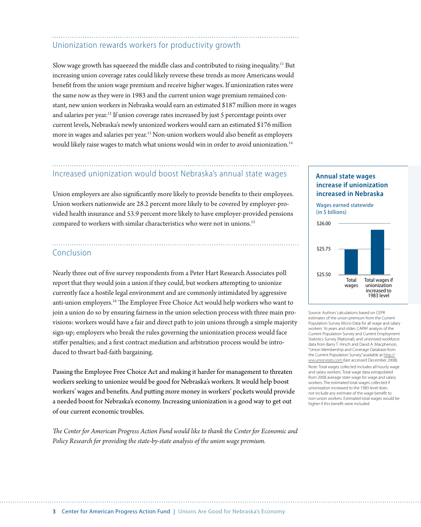### Unionization rewards workers for productivity growth

Slow wage growth has squeezed the middle class and contributed to rising inequality.11 But increasing union coverage rates could likely reverse these trends as more Americans would benefit from the union wage premium and receive higher wages. If unionization rates were the same now as they were in 1983 and the current union wage premium remained constant, new union workers in Nebraska would earn an estimated \$187 million more in wages and salaries per year.<sup>12</sup> If union coverage rates increased by just 5 percentage points over current levels, Nebraska's newly unionized workers would earn an estimated \$176 million more in wages and salaries per year.13 Non-union workers would also benefit as employers would likely raise wages to match what unions would win in order to avoid unionization.14

## Increased unionization would boost Nebraska's annual state wages

Union employers are also significantly more likely to provide benefits to their employees. Union workers nationwide are 28.2 percent more likely to be covered by employer-provided health insurance and 53.9 percent more likely to have employer-provided pensions compared to workers with similar characteristics who were not in unions.<sup>15</sup>

#### Conclusion

Nearly three out of five survey respondents from a Peter Hart Research Associates poll report that they would join a union if they could, but workers attempting to unionize currently face a hostile legal environment and are commonly intimidated by aggressive anti-union employers.16 The Employee Free Choice Act would help workers who want to join a union do so by ensuring fairness in the union selection process with three main provisions: workers would have a fair and direct path to join unions through a simple majority sign-up; employers who break the rules governing the unionization process would face stiffer penalties; and a first contract mediation and arbitration process would be introduced to thwart bad-faith bargaining.

Passing the Employee Free Choice Act and making it harder for management to threaten workers seeking to unionize would be good for Nebraska's workers. It would help boost workers' wages and benefits. And putting more money in workers' pockets would provide a needed boost for Nebraska's economy. Increasing unionization is a good way to get out of our current economic troubles.

*The Center for American Progress Action Fund would like to thank the Center for Economic and Policy Research for providing the state-by-state analysis of the union wage premium.*

#### **Annual state wages increase if unionization increased in Nebraska**



Source: Authors' calculations based on CEPR estimates of the union premium from the Current Population Survey Micro-Data for all wage and salary workers 16 years and older; CAPAF analysis of the Current Population Survey and Current Employment Statistics Survey (National); and unionized workforce data from Barry T. Hirsch and David A. Macpherson, "Union Membership and Coverage Database from the Current Population Survey," available at http:// ww.unionstats.com (last accessed December 2008). Note: Total wages collected includes all hourly wage and salary workers. Total wage data extrapolated from 2008 average state wage for wage and salary workers. The estimated total wages collected if unionization increased to the 1983 level does not include any estimate of the wage benefit to non-union workers. Estimated total wages would be higher if this benefit were included.